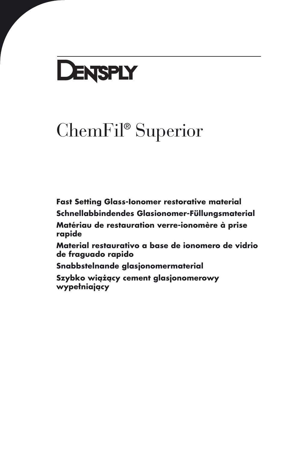# **DENSPLY**

## ChemFil® Superior

**[Fast Setting Glass-Ionomer restorative material](#page-2-0) [Schnellabbindendes Glasionomer-Füllungsmaterial](#page-6-0)**

**Maté[riau de restauration verre-ionomère à prise](#page-10-0) rapide**

**[Material restaurativo a base de ionomero de vidrio](#page-14-0) de fraguado rapido**

**[Snabbstelnande glasjonomermaterial](#page-18-0)**

**[Szybko wiążący cement glasjonomerowy](#page-22-0) wypełniający**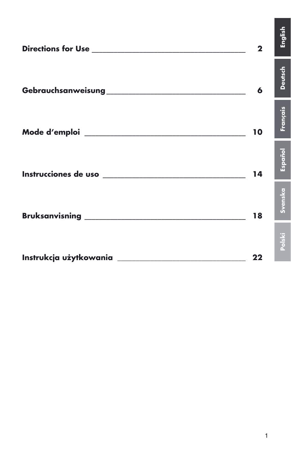| Directions for Use the contract of the contract of the contract of the contract of the contract of the contract of the contract of the contract of the contract of the contract of the contract of the contract of the contrac | $\mathbf 2$ | English        |
|--------------------------------------------------------------------------------------------------------------------------------------------------------------------------------------------------------------------------------|-------------|----------------|
|                                                                                                                                                                                                                                | 6           | <b>Deutsch</b> |
|                                                                                                                                                                                                                                | 10          | Français       |
|                                                                                                                                                                                                                                | 14          | Español        |
|                                                                                                                                                                                                                                | 18          | Svenska        |
|                                                                                                                                                                                                                                | 22          | Polski         |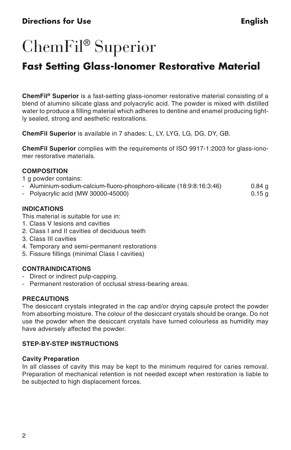#### <span id="page-2-0"></span>**Directions for Use English**

### ChemFil® Superior

### **Fast Setting Glass-Ionomer Restorative Material**

**ChemFil® Superior** is a fast-setting glass-ionomer restorative material consisting of a blend of alumino silicate glass and polyacrylic acid. The powder is mixed with distilled water to produce a filling material which adheres to dentine and enamel producing tightly sealed, strong and aesthetic restorations.

**ChemFil Superior** is available in 7 shades: L, LY, LYG, LG, DG, DY, GB.

**ChemFil Superior** complies with the requirements of ISO 9917-1:2003 for glass-ionomer restorative materials.

#### **COMPOSITION**

1 g powder contains:

- Aluminium-sodium-calcium-fluoro-phosphoro-silicate (18:9:8:16:3:46) 0.84 g
- Polyacrylic acid (MW 30000-45000) 0.15 g

#### **INDICATIONS**

This material is suitable for use in:

- 1. Class V lesions and cavities
- 2. Class I and II cavities of deciduous teeth
- 3. Class III cavities
- 4. Temporary and semi-permanent restorations
- 5. Fissure fillings (minimal Class I cavities)

#### **CONTRAINDICATIONS**

- Direct or indirect pulp-capping.
- Permanent restoration of occlusal stress-bearing areas.

#### **PRECAUTIONS**

The desiccant crystals integrated in the cap and/or drying capsule protect the powder from absorbing moisture. The colour of the desiccant crystals should be orange. Do not use the powder when the desiccant crystals have turned colourless as humidity may have adversely affected the powder.

#### **STEP-BY-STEP INSTRUCTIONS**

#### **Cavity Preparation**

In all classes of cavity this may be kept to the minimum required for caries removal. Preparation of mechanical retention is not needed except when restoration is liable to be subjected to high displacement forces.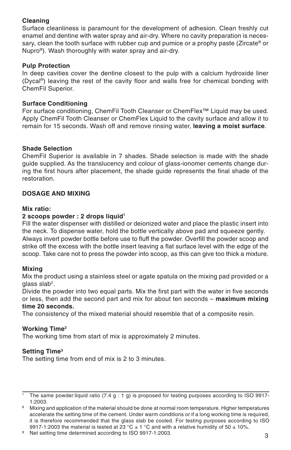#### **Cleaning**

Surface cleanliness is paramount for the development of adhesion. Clean freshly cut enamel and dentine with water spray and air-dry. Where no cavity preparation is necessary, clean the tooth surface with rubber cup and pumice or a prophy paste (Zircate® or Nupro®). Wash thoroughly with water spray and air-dry.

#### **Pulp Protection**

In deep cavities cover the dentine closest to the pulp with a calcium hydroxide liner (Dycal®) leaving the rest of the cavity floor and walls free for chemical bonding with ChemFil Superior.

#### **Surface Conditioning**

For surface conditioning, ChemFil Tooth Cleanser or ChemFlex™ Liquid may be used. Apply ChemFil Tooth Cleanser or ChemFlex Liquid to the cavity surface and allow it to remain for 15 seconds. Wash off and remove rinsing water, **leaving a moist surface**.

#### **Shade Selection**

ChemFil Superior is available in 7 shades. Shade selection is made with the shade guide supplied. As the translucency and colour of glass-ionomer cements change during the first hours after placement, the shade guide represents the final shade of the restoration.

#### **DOSAGE AND MIXING**

#### **Mix ratio:**

#### **2 scoops powder : 2 drops liquid1**

Fill the water dispenser with distilled or deionized water and place the plastic insert into the neck. To dispense water, hold the bottle vertically above pad and squeeze gently. Always invert powder bottle before use to fluff the powder. Overfill the powder scoop and strike off the excess with the bottle insert leaving a flat surface level with the edge of the scoop. Take care not to press the powder into scoop, as this can give too thick a mixture.

#### **Mixing**

Mix the product using a stainless steel or agate spatula on the mixing pad provided or a glass slab<sup>2</sup>.

Divide the powder into two equal parts. Mix the first part with the water in five seconds or less, then add the second part and mix for about ten seconds – **maximum mixing time 20 seconds.**

The consistency of the mixed material should resemble that of a composite resin.

#### **Working Time2**

The working time from start of mix is approximately 2 minutes.

#### **Setting Time3**

The setting time from end of mix is 2 to 3 minutes.

**<sup>3</sup>** Net setting time determined according to ISO 9917-1:2003.

<sup>1</sup> The same powder:liquid ratio (7.4 g : 1 g) is proposed for testing purposes according to ISO 9917- 1:2003.

**<sup>2</sup>** Mixing and application of the material should be done at normal room temperature. Higher temperatures accelerate the setting time of the cement. Under warm conditions or if a long working time is required, it is therefore recommended that the glass slab be cooled. For testing purposes according to ISO 9917-1:2003 the material is tested at 23 °C  $\pm$  1 °C and with a relative humidity of 50  $\pm$  10%.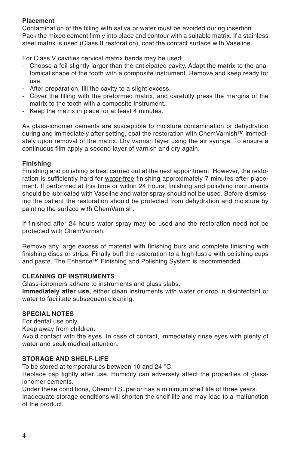#### **Placement**

Contamination of the filling with saliva or water must be avoided during insertion. Pack the mixed cement firmly into place and contour with a suitable matrix. If a stainless steel matrix is used (Class II restoration), coat the contact surface with Vaseline.

For Class V cavities cervical matrix bands may be used:

- Choose a foil slightly larger than the anticipated cavity. Adapt the matrix to the anatomical shape of the tooth with a composite instrument. Remove and keep ready for use.
- After preparation, fill the cavity to a slight excess.
- Cover the filling with the preformed matrix, and carefully press the margins of the matrix to the tooth with a composite instrument.
- Keep the matrix in place for at least 4 minutes.

As glass-ionomer cements are susceptible to moisture contamination or dehydration during and immediately after setting, coat the restoration with ChemVarnish™ immediately upon removal of the matrix. Dry varnish layer using the air syringe. To ensure a continuous film apply a second layer of varnish and dry again.

#### **Finishing**

Finishing and polishing is best carried out at the next appointment. However, the restoration is sufficiently hard for water-free finishing approximately 7 minutes after placement. If performed at this time or within 24 hours, finishing and polishing instruments should be lubricated with Vaseline and water spray should not be used. Before dismissing the patient the restoration should be protected from dehydration and moisture by painting the surface with ChemVarnish.

If finished after 24 hours water spray may be used and the restoration need not be protected with ChemVarnish.

Remove any large excess of material with finishing burs and complete finishing with finishing discs or strips. Finally buff the restoration to a high lustre with polishing cups and paste. The Enhance™ Finishing and Polishing System is recommended.

#### **CLEANING OF INSTRUMENTS**

Glass-ionomers adhere to instruments and glass slabs.

**Immediately after use,** either clean instruments with water or drop in disinfectant or water to facilitate subsequent cleaning.

#### **SPECIAL NOTES**

For dental use only.

Keep away from children.

Avoid contact with the eyes. In case of contact, immediately rinse eyes with plenty of water and seek medical attention.

#### **STORAGE AND SHELF-LIFE**

To be stored at temperatures between 10 and 24 °C.

Replace cap tightly after use. Humidity can adversely affect the properties of glassionomer cements.

Under these conditions, ChemFil Superior has a minimum shelf life of three years.

Inadequate storage conditions will shorten the shelf life and may lead to a malfunction of the product.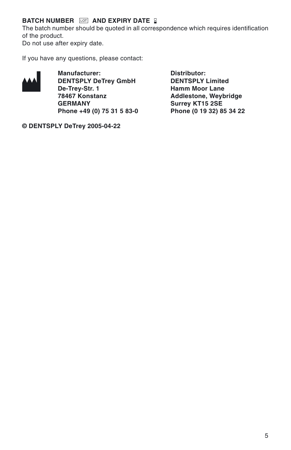#### **BATCH NUMBER <b>IOT** AND EXPIRY DATE **B**

The batch number should be quoted in all correspondence which requires identification of the product. Do not use after expiry date.

If you have any questions, please contact:



**Manufacturer:** Distributor:<br>DENTSPLY DeTrey GmbH DENTSPLY Limited **DENTSPLY DeTrey GmbH**<br>De-Trey-Str. 1 **De-Trey-Str. 1 Hamm Moor Lane 78467 Konstanz Addlestone, Weybridge Phone +49 (0) 75 31 5 83-0 Phone (0 19 32) 85 34 22**

Surrey KT15 2SE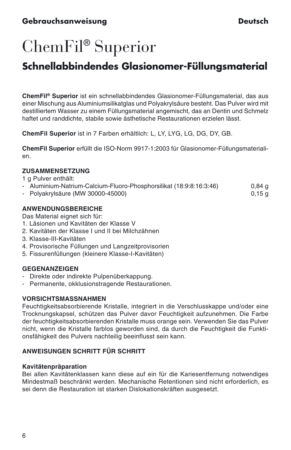## <span id="page-6-0"></span>ChemFil® Superior

### **Schnellabbindendes Glasionomer-Füllungsmaterial**

**ChemFil® Superior** ist ein schnellabbindendes Glasionomer-Füllungsmaterial, das aus einer Mischung aus Aluminiumsilikatglas und Polyakrylsäure besteht. Das Pulver wird mit destilliertem Wasser zu einem Füllungsmaterial angemischt, das an Dentin und Schmelz haftet und randdichte, stabile sowie ästhetische Restaurationen erzielen lässt.

**ChemFil Superior** ist in 7 Farben erhältlich: L, LY, LYG, LG, DG, DY, GB.

**ChemFil Superior** erfüllt die ISO-Norm 9917-1:2003 für Glasionomer-Füllungsmaterialien.

#### **ZUSAMMENSETZUNG**

1 g Pulver enthält:

- Aluminium-Natrium-Calcium-Fluoro-Phosphorsilikat (18:9:8:16:3:46) 0,84 g
- Polyakrylsäure (MW 30000-45000) 0,15 g

#### **ANWENDUNGSBEREICHE**

Das Material eignet sich für:

- 1. Läsionen und Kavitäten der Klasse V
- 2. Kavitäten der Klasse I und II bei Milchzähnen
- 3. Klasse-III-Kavitäten
- 4. Provisorische Füllungen und Langzeitprovisorien
- 5. Fissurenfüllungen (kleinere Klasse-I-Kavitäten)

#### **GEGENANZEIGEN**

- Direkte oder indirekte Pulpenüberkappung.
- Permanente, okklusionstragende Restaurationen.

#### **VORSICHTSMASSNAHMEN**

Feuchtigkeitsabsorbierende Kristalle, integriert in die Verschlusskappe und/oder eine Trocknungskapsel, schützen das Pulver davor Feuchtigkeit aufzunehmen. Die Farbe der feuchtigkeitsabsorbierenden Kristalle muss orange sein. Verwenden Sie das Pulver nicht, wenn die Kristalle farblos geworden sind, da durch die Feuchtigkeit die Funktionsfähigkeit des Pulvers nachteilig beeinflusst sein kann.

#### **ANWEISUNGEN SCHRITT FÜR SCHRITT**

#### **Kavitätenpräparation**

Bei allen Kavitätenklassen kann diese auf ein für die Kariesentfernung notwendiges Mindestmaß beschränkt werden. Mechanische Retentionen sind nicht erforderlich, es sei denn die Restauration ist starken Dislokationskräften ausgesetzt.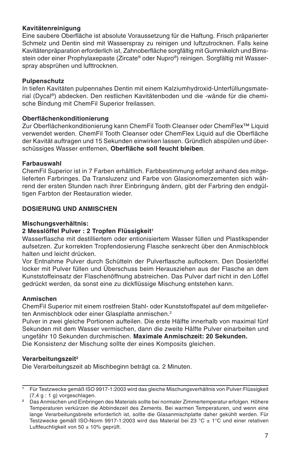#### **Kavitätenreinigung**

Eine saubere Oberfläche ist absolute Voraussetzung für die Haftung. Frisch präparierter Schmelz und Dentin sind mit Wasserspray zu reinigen und luftzutrocknen. Falls keine Kavitätenpräparation erforderlich ist, Zahnoberfläche sorgfältig mit Gummikelch und Bimsstein oder einer Prophylaxepaste (Zircate® oder Nupro®) reinigen. Sorgfältig mit Wasserspray absprühen und lufttrocknen.

#### **Pulpenschutz**

In tiefen Kavitäten pulpennahes Dentin mit einem Kalziumhydroxid-Unterfüllungsmaterial (Dycal®) abdecken. Den restlichen Kavitätenboden und die -wände für die chemische Bindung mit ChemFil Superior freilassen.

#### **Oberflächenkonditionierung**

Zur Oberflächenkonditionierung kann ChemFil Tooth Cleanser oder ChemFlex™ Liquid verwendet werden. ChemFil Tooth Cleanser oder ChemFlex Liquid auf die Oberfläche der Kavität auftragen und 15 Sekunden einwirken lassen. Gründlich abspülen und überschüssiges Wasser entfernen, **Oberfläche soll feucht bleiben**.

#### **Farbauswahl**

ChemFil Superior ist in 7 Farben erhältlich. Farbbestimmung erfolgt anhand des mitgelieferten Farbringes. Da Transluzenz und Farbe von Glasionomerzementen sich während der ersten Stunden nach ihrer Einbringung ändern, gibt der Farbring den endgültigen Farbton der Restauration wieder.

#### **DOSIERUNG UND ANMISCHEN**

#### **Mischungsverhältnis:**

#### 2 Messlöffel Pulver : 2 Tropfen Flüssigkeit<sup>1</sup>

Wasserflasche mit destilliertem oder entionisiertem Wasser füllen und Plastikspender aufsetzen. Zur korrekten Tropfendosierung Flasche senkrecht über den Anmischblock halten und leicht drücken.

Vor Entnahme Pulver durch Schütteln der Pulverflasche auflockern. Den Dosierlöffel locker mit Pulver füllen und Überschuss beim Herausziehen aus der Flasche an dem Kunststoffeinsatz der Flaschenöffnung abstreichen. Das Pulver darf nicht in den Löffel gedrückt werden, da sonst eine zu dickflüssige Mischung entstehen kann.

#### **Anmischen**

ChemFil Superior mit einem rostfreien Stahl- oder Kunststoffspatel auf dem mitgelieferten Anmischblock oder einer Glasplatte anmischen.<sup>2</sup>

Pulver in zwei gleiche Portionen aufteilen. Die erste Hälfte innerhalb von maximal fünf Sekunden mit dem Wasser vermischen, dann die zweite Hälfte Pulver einarbeiten und ungefähr 10 Sekunden durchmischen. **Maximale Anmischzeit: 20 Sekunden.** Die Konsistenz der Mischung sollte der eines Komposits gleichen.

#### **Verarbeitungszeit2**

Die Verarbeitungszeit ab Mischbeginn beträgt ca. 2 Minuten.

**<sup>1</sup>** Für Testzwecke gemäß ISO 9917-1:2003 wird das gleiche Mischungsverhältnis von Pulver:Flüssigkeit  $(7.4 \text{ g} : 1 \text{ g})$  vorgeschlagen.

**<sup>2</sup>** Das Anmischen und Einbringen des Materials sollte bei normaler Zimmertemperatur erfolgen. Höhere Temperaturen verkürzen die Abbindezeit des Zements. Bei warmen Temperaturen, und wenn eine lange Verarbeitungsbreite erforderlich ist, sollte die Glasanmischplatte daher gekühlt werden. Für Testzwecke gemäß ISO-Norm 9917-1:2003 wird das Material bei 23 °C ± 1°C und einer relativen Luftfeuchtigkeit von 50 ± 10% geprüft.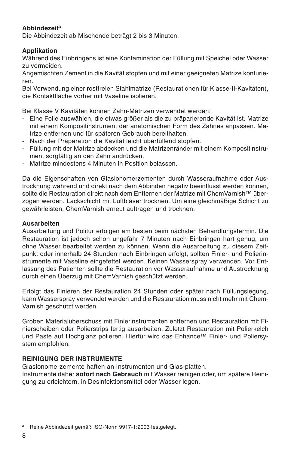#### **Abbindezeit3**

Die Abbindezeit ab Mischende beträgt 2 bis 3 Minuten.

#### **Applikation**

Während des Einbringens ist eine Kontamination der Füllung mit Speichel oder Wasser zu vermeiden.

Angemischten Zement in die Kavität stopfen und mit einer geeigneten Matrize konturieren.

Bei Verwendung einer rostfreien Stahlmatrize (Restaurationen für Klasse-II-Kavitäten), die Kontaktfläche vorher mit Vaseline isolieren.

Bei Klasse V Kavitäten können Zahn-Matrizen verwendet werden:

- Eine Folie auswählen, die etwas größer als die zu präparierende Kavität ist. Matrize mit einem Kompositinstrument der anatomischen Form des Zahnes anpassen. Matrize entfernen und für späteren Gebrauch bereithalten.
- Nach der Präparation die Kavität leicht überfüllend stopfen.
- Füllung mit der Matrize abdecken und die Matrizenränder mit einem Kompositinstrument sorgfältig an den Zahn andrücken.
- Matrize mindestens 4 Minuten in Position belassen.

Da die Eigenschaften von Glasionomerzementen durch Wasseraufnahme oder Austrocknung während und direkt nach dem Abbinden negativ beeinflusst werden können, sollte die Restauration direkt nach dem Entfernen der Matrize mit ChemVarnish™ überzogen werden. Lackschicht mit Luftbläser trocknen. Um eine gleichmäßige Schicht zu gewährleisten, ChemVarnish erneut auftragen und trocknen.

#### **Ausarbeiten**

Ausarbeitung und Politur erfolgen am besten beim nächsten Behandlungstermin. Die Restauration ist jedoch schon ungefähr 7 Minuten nach Einbringen hart genug, um ohne Wasser bearbeitet werden zu können. Wenn die Ausarbeitung zu diesem Zeitpunkt oder innerhalb 24 Stunden nach Einbringen erfolgt, sollten Finier- und Polierinstrumente mit Vaseline eingefettet werden. Keinen Wasserspray verwenden. Vor Entlassung des Patienten sollte die Restauration vor Wasseraufnahme und Austrocknung durch einen Überzug mit ChemVarnish geschützt werden.

Erfolgt das Finieren der Restauration 24 Stunden oder später nach Füllungslegung, kann Wasserspray verwendet werden und die Restauration muss nicht mehr mit Chem-Varnish geschützt werden.

Groben Materialüberschuss mit Finierinstrumenten entfernen und Restauration mit Finierscheiben oder Polierstrips fertig ausarbeiten. Zuletzt Restauration mit Polierkelch und Paste auf Hochglanz polieren. Hierfür wird das Enhance™ Finier- und Poliersystem empfohlen.

#### **REINIGUNG DER INSTRUMENTE**

Glasionomerzemente haften an Instrumenten und Glas-platten.

Instrumente daher **sofort nach Gebrauch** mit Wasser reinigen oder, um spätere Reinigung zu erleichtern, in Desinfektionsmittel oder Wasser legen.

**<sup>3</sup>** Reine Abbindezeit gemäß ISO-Norm 9917-1:2003 festgelegt.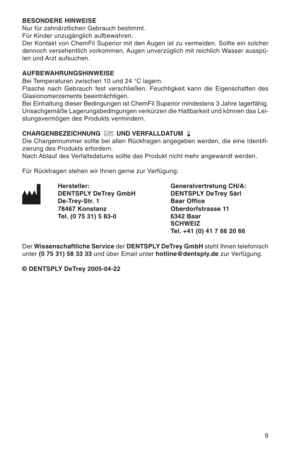#### **BESONDERE HINWEISE**

Nur für zahnärztlichen Gebrauch bestimmt.

Für Kinder unzugänglich aufbewahren.

Der Kontakt von ChemFil Superior mit den Augen ist zu vermeiden. Sollte ein solcher dennoch versehentlich vorkommen, Augen unverzüglich mit reichlich Wasser ausspülen und Arzt aufsuchen.

#### **AUFBEWAHRUNGSHINWEISE**

Bei Temperaturen zwischen 10 und 24 °C lagern.

Flasche nach Gebrauch fest verschließen. Feuchtigkeit kann die Eigenschaften des Glasionomerzements beeinträchtigen.

Bei Einhaltung dieser Bedingungen ist ChemFil Superior mindestens 3 Jahre lagerfähig. Unsachgemäße Lagerungsbedingungen verkürzen die Haltbarkeit und können das Leistungsvermögen des Produkts vermindern.

#### **CHARGENBEZEICHNUNG UND VERFALLDATUM**

Die Chargennummer sollte bei allen Rückfragen angegeben werden, die eine Identifizierung des Produkts erfordern.

Nach Ablauf des Verfallsdatums sollte das Produkt nicht mehr angewandt werden.

Für Rückfragen stehen wir Ihnen gerne zur Verfügung:



**De-Trey-Str. 1** Baar Office<br> **Part of the Baar Office**<br> **Cherdorfstrasse 11 78467 Konstanz Oberdorfstrasse 11** Tel. (0 75 31) 5 83-0

**Hersteller: Generalvertretung CH/A: DENTSPLY DeTrey GmbH** DENTSPLY DeTrey Sàrl<br>De-Trey-Str. 1 Baar Office **SCHWEIZ Tel. +41 (0) 41 7 66 20 66**

Der **Wissenschaftliche Service** der **DENTSPLY DeTrey GmbH** steht Ihnen telefonisch unter **(0 75 31) 58 33 33** und über Email unter **hotline@dentsply.de** zur Verfügung.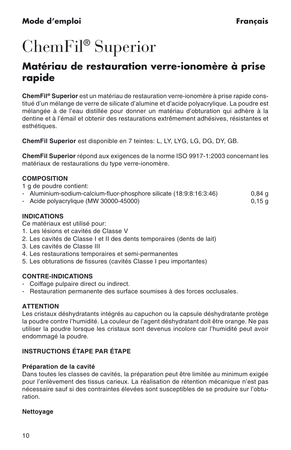## <span id="page-10-0"></span>ChemFil® Superior

### **Matériau de restauration verre-ionomère à prise rapide**

**ChemFil® Superior** est un matériau de restauration verre-ionomère à prise rapide constitué d'un mélange de verre de silicate d'alumine et d'acide polyacrylique. La poudre est mélangée à de l'eau distillée pour donner un matériau d'obturation qui adhère à la dentine et à l'émail et obtenir des restaurations extrêmement adhésives, résistantes et esthétiques.

**ChemFil Superior** est disponible en 7 teintes: L, LY, LYG, LG, DG, DY, GB.

**ChemFil Superior** répond aux exigences de la norme ISO 9917-1:2003 concernant les matériaux de restaurations du type verre-ionomère.

#### **COMPOSITION**

1 g de poudre contient:

- Aluminium-sodium-calcium-fluor-phosphore silicate (18:9:8:16:3:46) 0,84 g<br>- Acide polyacrylique (MW 30000-45000)
- $-$  Acide polyacrylique (MW 30000-45000)

#### **INDICATIONS**

Ce matériaux est utilisé pour:

- 1. Les lésions et cavités de Classe V
- 2. Les cavités de Classe I et II des dents temporaires (dents de lait)
- 3. Les cavités de Classe III
- 4. Les restaurations temporaires et semi-permanentes
- 5. Les obturations de fissures (cavités Classe I peu importantes)

#### **CONTRE-INDICATIONS**

- Coiffage pulpaire direct ou indirect.
- Restauration permanente des surface soumises à des forces occlusales.

#### **ATTENTION**

Les cristaux déshydratants intégrés au capuchon ou la capsule déshydratante protège la poudre contre l'humidité. La couleur de l'agent déshydratant doit être orange. Ne pas utiliser la poudre lorsque les cristaux sont devenus incolore car l'humidité peut avoir endommagé la poudre.

#### **INSTRUCTIONS ÉTAPE PAR ÉTAPE**

#### **Préparation de la cavité**

Dans toutes les classes de cavités, la préparation peut être limitée au minimum exigée pour l'enlèvement des tissus carieux. La réalisation de rétention mécanique n'est pas nécessaire sauf si des contraintes élevées sont susceptibles de se produire sur l'obturation.

#### **Nettoyage**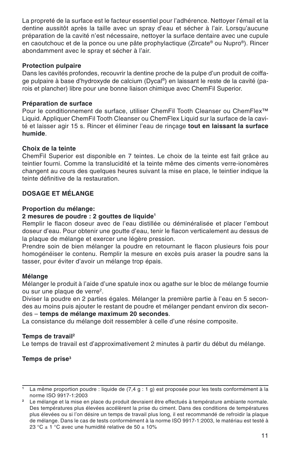La propreté de la surface est le facteur essentiel pour l'adhérence. Nettoyer l'émail et la dentine aussitôt après la taille avec un spray d'eau et sécher à l'air. Lorsqu'aucune préparation de la cavité n'est nécessaire, nettoyer la surface dentaire avec une cupule en caoutchouc et de la ponce ou une pâte prophylactique (Zircate® ou Nupro®). Rincer abondamment avec le spray et sécher à l'air.

#### **Protection pulpaire**

Dans les cavités profondes, recouvrir la dentine proche de la pulpe d'un produit de coiffage pulpaire à base d'hydroxyde de calcium (Dycal®) en laissant le reste de la cavité (parois et plancher) libre pour une bonne liaison chimique avec ChemFil Superior.

#### **Préparation de surface**

Pour le conditionnement de surface, utiliser ChemFil Tooth Cleanser ou ChemFlex™ Liquid. Appliquer ChemFil Tooth Cleanser ou ChemFlex Liquid sur la surface de la cavité et laisser agir 15 s. Rincer et éliminer l'eau de rinçage **tout en laissant la surface humide**.

#### **Choix de la teinte**

ChemFil Superior est disponible en 7 teintes. Le choix de la teinte est fait grâce au teintier fourni. Comme la translucidité et la teinte même des ciments verre-ionomères changent au cours des quelques heures suivant la mise en place, le teintier indique la teinte définitive de la restauration.

#### **DOSAGE ET MÉLANGE**

#### **Proportion du mélange:**

#### **2 mesures de poudre : 2 gouttes de liquide1**

Remplir le flacon doseur avec de l'eau distillée ou déminéralisée et placer l'embout doseur d'eau. Pour obtenir une goutte d'eau, tenir le flacon verticalement au dessus de la plaque de mélange et exercer une légère pression.

Prendre soin de bien mélanger la poudre en retournant le flacon plusieurs fois pour homogénéiser le contenu. Remplir la mesure en excès puis araser la poudre sans la tasser, pour éviter d'avoir un mélange trop épais.

#### **Mélange**

Mélanger le produit à l'aide d'une spatule inox ou agathe sur le bloc de mélange fournie ou sur une plaque de verre2.

Diviser la poudre en 2 parties égales. Mélanger la première partie à l'eau en 5 secondes au moins puis ajouter le restant de poudre et mélanger pendant environ dix secondes – **temps de mélange maximum 20 secondes**.

La consistance du mélange doit ressembler à celle d'une résine composite.

#### **Temps de travail2**

Le temps de travail est d'approximativement 2 minutes à partir du début du mélange.

#### **Temps de prise3**

**<sup>1</sup>** La même proportion poudre : liquide de (7,4 g : 1 g) est proposée pour les tests conformément à la norme ISO 9917-1:2003

**<sup>2</sup>** Le mélange et la mise en place du produit devraient être effectués à température ambiante normale. Des températures plus élevées accélèrent la prise du ciment. Dans des conditions de températures plus élevées ou si l'on désire un temps de travail plus long, il est recommandé de refroidir la plaque de mélange. Dans le cas de tests conformément à la norme ISO 9917-1:2003, le matériau est testé à 23 °C  $\pm$  1 °C avec une humidité relative de 50  $\pm$  10%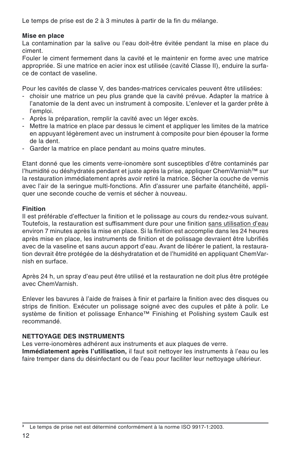Le temps de prise est de 2 à 3 minutes à partir de la fin du mélange.

#### **Mise en place**

La contamination par la salive ou l'eau doit-être évitée pendant la mise en place du ciment.

Fouler le ciment fermement dans la cavité et le maintenir en forme avec une matrice appropriée. Si une matrice en acier inox est utilisée (cavité Classe II), enduire la surface de contact de vaseline.

Pour les cavités de classe V, des bandes-matrices cervicales peuvent être utilisées:

- choisir une matrice un peu plus grande que la cavité prévue. Adapter la matrice à l'anatomie de la dent avec un instrument à composite. L'enlever et la garder prête à l'emploi.
- Après la préparation, remplir la cavité avec un léger excès.
- Mettre la matrice en place par dessus le ciment et appliquer les limites de la matrice en appuyant légèrement avec un instrument à composite pour bien épouser la forme de la dent.
- Garder la matrice en place pendant au moins quatre minutes.

Etant donné que les ciments verre-ionomère sont susceptibles d'être contaminés par l'humidité ou déshydratés pendant et juste après la prise, appliquer ChemVarnish™ sur la restauration immédiatement après avoir retiré la matrice. Sécher la couche de vernis avec l'air de la seringue multi-fonctions. Afin d'assurer une parfaite étanchéité, appliquer une seconde couche de vernis et sécher à nouveau.

#### **Finition**

Il est préférable d'effectuer la finition et le polissage au cours du rendez-vous suivant. Toutefois, la restauration est suffisamment dure pour une finition sans utilisation d'eau environ 7 minutes après la mise en place. Si la finition est accomplie dans les 24 heures après mise en place, les instruments de finition et de polissage devraient être lubrifiés avec de la vaseline et sans aucun apport d'eau. Avant de libérer le patient, la restauration devrait être protégée de la déshydratation et de l'humidité en appliquant ChemVarnish en surface.

Après 24 h, un spray d'eau peut être utilisé et la restauration ne doit plus être protégée avec ChemVarnish.

Enlever les bavures à l'aide de fraises à finir et parfaire la finition avec des disques ou strips de finition. Exécuter un polissage soigné avec des cupules et pâte à polir. Le système de finition et polissage Enhance™ Finishing et Polishing system Caulk est recommandé.

#### **NETTOYAGE DES INSTRUMENTS**

Les verre-ionomères adhérent aux instruments et aux plaques de verre.

**Immédiatement après l'utilisation,** il faut soit nettoyer les instruments à l'eau ou les faire tremper dans du désinfectant ou de l'eau pour faciliter leur nettoyage ultérieur.

<sup>&</sup>lt;sup>3</sup> Le temps de prise net est déterminé conformément à la norme ISO 9917-1:2003.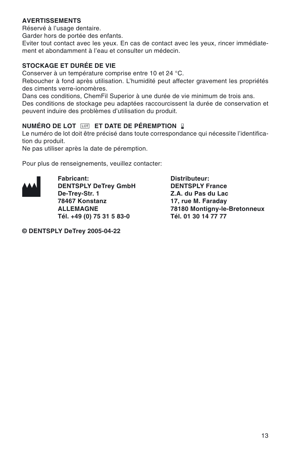#### **AVERTISSEMENTS**

Réservé à l'usage dentaire.

Garder hors de portée des enfants.

Eviter tout contact avec les yeux. En cas de contact avec les yeux, rincer immédiatement et abondamment à l'eau et consulter un médecin.

#### **STOCKAGE ET DURÉE DE VIE**

Conserver à un température comprise entre 10 et 24 °C.

Reboucher à fond après utilisation. L'humidité peut affecter gravement les propriétés des ciments verre-ionomères.

Dans ces conditions, ChemFil Superior à une durée de vie minimum de trois ans.

Des conditions de stockage peu adaptées raccourcissent la durée de conservation et peuvent induire des problèmes d'utilisation du produit.

#### **NUMÉRO DE LOT ET DATE DE PÉREMPTION**

Le numéro de lot doit être précisé dans toute correspondance qui nécessite l'identification du produit.

Ne pas utiliser après la date de péremption.

Pour plus de renseignements, veuillez contacter:



**Fabricant: Distributeur: DENTSPLY DeTrey GmbH**<br>De-Trey-Str. 1 **De-Trey-Str. 1 Z.A. du Pas du Lac 78467 Konstanz 17, rue M. Faraday** Tél. +49 (0) 75 31 5 83-0

**78180 Montigny-le-Bretonneux**<br>Tél. 01 30 14 77 77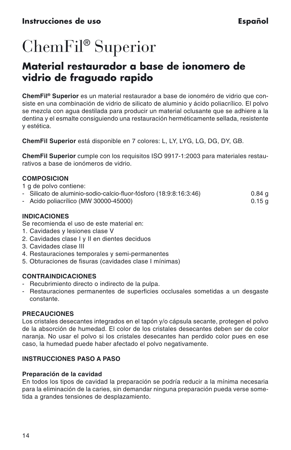## <span id="page-14-0"></span>ChemFil® Superior

### **Material restaurador a base de ionomero de vidrio de fraguado rapido**

**ChemFil® Superior** es un material restaurador a base de ionoméro de vidrio que consiste en una combinación de vidrio de silicato de aluminio y ácido poliacrílico. El polvo se mezcla con agua destilada para producir un material oclusante que se adhiere a la dentina y el esmalte consiguiendo una restauración herméticamente sellada, resistente y estética.

**ChemFil Superior** está disponible en 7 colores: L, LY, LYG, LG, DG, DY, GB.

**ChemFil Superior** cumple con los requisitos ISO 9917-1:2003 para materiales restaurativos a base de ionómeros de vidrio.

#### **COMPOSICION**

- 1 g de polvo contiene:
- Silicato de aluminio-sodio-calcio-fluor-fósforo (18:9:8:16:3:46) 0.84 g
- $-$  Acido poliacrílico (MW 30000-45000)

#### **INDICACIONES**

Se recomienda el uso de este material en:

- 1. Cavidades y lesiones clase V
- 2. Cavidades clase I y II en dientes deciduos
- 3. Cavidades clase III
- 4. Restauraciones temporales y semi-permanentes
- 5. Obturaciones de fisuras (cavidades clase I mínimas)

#### **CONTRAINDICACIONES**

- Recubrimiento directo o indirecto de la pulpa.
- Restauraciones permanentes de superficies occlusales sometidas a un desgaste constante.

#### **PRECAUCIONES**

Los cristales desecantes integrados en el tapón y/o cápsula secante, protegen el polvo de la absorción de humedad. El color de los cristales desecantes deben ser de color naranja. No usar el polvo si los cristales desecantes han perdido color pues en ese caso, la humedad puede haber afectado el polvo negativamente.

#### **INSTRUCCIONES PASO A PASO**

#### **Preparación de la cavidad**

En todos los tipos de cavidad la preparación se podría reducir a la mínima necesaria para la eliminación de la caries, sin demandar ninguna preparación pueda verse sometida a grandes tensiones de desplazamiento.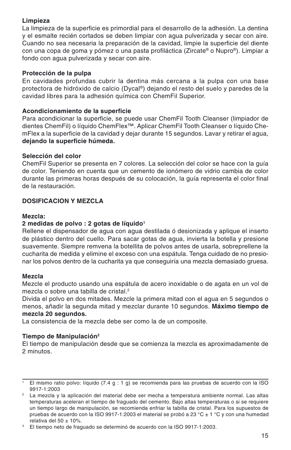#### **Limpieza**

La limpieza de la superficie es primordial para el desarrollo de la adhesión. La dentina y el esmalte recién cortados se deben limpiar con agua pulverizada y secar con aire. Cuando no sea necesaria la preparación de la cavidad, limpie la superficie del diente con una copa de goma y pómez o una pasta profiláctica (Zircate® o Nupro®). Limpiar a fondo con agua pulverizada y secar con aire.

#### **Protección de la pulpa**

En cavidades profundas cubrir la dentina más cercana a la pulpa con una base protectora de hidróxido de calcio (Dycal®) dejando el resto del suelo y paredes de la cavidad libres para la adhesión química con ChemFil Superior.

#### **Acondicionamiento de la superficie**

Para acondicionar la superficie, se puede usar ChemFil Tooth Cleanser (limpiador de dientes ChemFil) o líquido ChemFlex™. Aplicar ChemFil Tooth Cleanser o líquido ChemFlex a la superficie de la cavidad y dejar durante 15 segundos. Lavar y retirar el agua, **dejando la superficie húmeda.**

#### **Selección del color**

ChemFil Superior se presenta en 7 colores. La selección del color se hace con la guía de color. Teniendo en cuenta que un cemento de ionómero de vidrio cambia de color durante las primeras horas después de su colocación, la guía representa el color final de la restauración.

#### **DOSIFICACION Y MEZCLA**

#### **Mezcla:**

#### **2 medidas de polvo : 2 gotas de líquido1**

Rellene el dispensador de agua con agua destilada ó desionizada y aplique el inserto de plástico dentro del cuello. Para sacar gotas de agua, invierta la botella y presione suavemente. Siempre remvena la botellita de polvos antes de usarla, sobreprellene la cucharita de medida y elimine el exceso con una espátula. Tenga cuidado de no presionar los polvos dentro de la cucharita ya que conseguiría una mezcla demasiado gruesa.

#### **Mezcla**

Mezcle el producto usando una espátula de acero inoxidable o de agata en un vol de mezcla o sobre una tabilla de cristal.<sup>2</sup>

Divida el polvo en dos mitades. Mezcle la primera mitad con el agua en 5 segundos o menos, añadir la segunda mitad y mezclar durante 10 segundos. **Máximo tiempo de mezcla 20 segundos.**

La consistencia de la mezcla debe ser como la de un composite.

#### **Tiempo de Manipulación2**

El tiempo de manipulación desde que se comienza la mezcla es aproximadamente de 2 minutos.

<sup>&</sup>lt;sup>1</sup> El mismo ratio polvo: líquido (7.4 g : 1 g) se recomienda para las pruebas de acuerdo con la ISO 9917-1:2003

<sup>2</sup> La mezcla y la aplicación del material debe ser mecha a temperatura ambiente normal. Las altas temperaturas aceleran el tiempo de fraguado del cemento. Bajo altas temperaturas o si se requiere un tiempo largo de manipulación, se recomienda enfriar la tabilla de cristal. Para los supuestos de pruebas de acuerdo con la ISO 9917-1:2003 el material se probó a 23 °C ± 1 °C y con una humedad relativa del 50  $\pm$  10%.

<sup>&</sup>lt;sup>3</sup> El tiempo neto de fraguado se determinó de acuerdo con la ISO 9917-1:2003.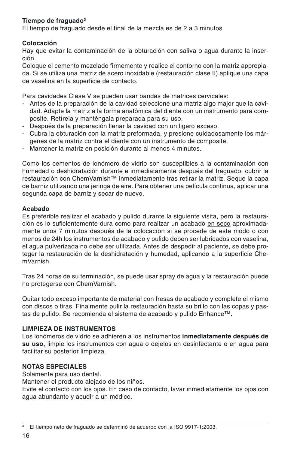#### **Tiempo de fraguado3**

El tiempo de fraguado desde el final de la mezcla es de 2 a 3 minutos.

#### **Colocación**

Hay que evitar la contaminación de la obturación con saliva o agua durante la inserción.

Coloque el cemento mezclado firmemente y realice el contorno con la matriz appropiada. Si se utiliza una matriz de acero inoxidable (restauración clase II) aplique una capa de vaselina en la superficie de contacto.

Para cavidades Clase V se pueden usar bandas de matrices cervicales:

- Antes de la preparación de la cavidad seleccione una matriz algo major que la cavidad. Adapte la matriz a la forma anatómica del diente con un instrumento para composite. Retírela y manténgala preparada para su uso.
- Después de la preparación llenar la cavidad con un ligero exceso.
- Cubra la obturación con la matriz preformada, y presione cuidadosamente los márgenes de la matriz contra el diente con un instrumento de composite.
- Mantener la matriz en posición durante al menos 4 minutos.

Como los cementos de ionómero de vidrio son susceptibles a la contaminación con humedad o deshidratación durante e inmediatamente después del fraguado, cubrir la restauración con ChemVarnish™ inmediatamente tras retirar la matriz. Seque la capa de barniz utilizando una jeringa de aire. Para obtener una película continua, aplicar una segunda capa de barniz y secar de nuevo.

#### **Acabado**

Es preferible realizar el acabado y pulido durante la siguiente visita, pero la restauración es lo suficientemente dura como para realizar un acabado en seco aproximadamente unos 7 minutos después de la colocacíon si se procede de este modo o con menos de 24h los instrumentos de acabado y pulido deben ser lubricados con vaselina, el agua pulverizada no debe ser utilizada. Antes de despedir al paciente, se debe proteger la restauración de la deshidratación y humedad, aplicando a la superficie ChemVarnish.

Tras 24 horas de su terminación, se puede usar spray de agua y la restauración puede no protegerse con ChemVarnish.

Quitar todo exceso importante de material con fresas de acabado y complete el mismo con discos o tiras. Finalmente pulir la restauración hasta su brillo con las copas y pastas de pulido. Se recomienda el sistema de acabado y pulido Enhance™.

#### **LIMPIEZA DE INSTRUMENTOS**

Los ionómeros de vidrio se adhieren a los instrumentos **inmediatamente después de su uso,** limpie los instrumentos con agua o dejelos en desinfectante o en agua para facilitar su posterior limpieza.

#### **NOTAS ESPECIALES**

Solamente para uso dental.

Mantener el producto alejado de los niños.

Evite el contacto con los ojos. En caso de contacto, lavar inmediatamente los ojos con agua abundante y acudir a un médico.

<sup>&</sup>lt;sup>3</sup> El tiempo neto de fraguado se determinó de acuerdo con la ISO 9917-1:2003.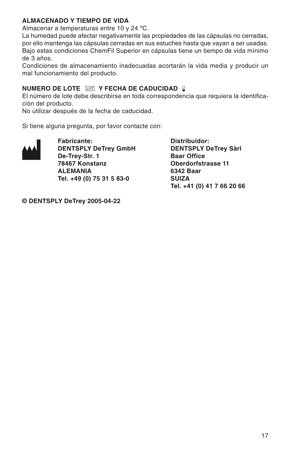#### **ALMACENADO Y TIEMPO DE VIDA**

Almacenar a temperaturas entre 10 y 24 ºC.

La humedad puede afectar negativamente las propiedades de las cápsulas no cerradas, por ello mantenga las cápsulas cerradas en sus estuches hasta que vayan a ser usadas. Bajo estas condiciones ChemFil Superior en cápsulas tiene un tiempo de vida mínimo de 3 años.

Condiciones de almacenamiento inadecuadas acortarán la vida media y producir un mal funcionamiento del producto.

#### **NUMERO DE LOTE FOT Y FECHA DE CADUCIDAD** 2

El número de lote debe describirse en toda correspondencia que requiera la identificación del producto.

No utilizar después de la fecha de caducidad.

Si tiene alguna pregunta, por favor contacte con:



**DENTSPLY DeTrey GmbH DENTSPLY**<br>De-Trey-Str. 1 Baar Office **De-Trey-Str. 1<br>78467 Konstanz ALEMANIA** 6342 B<br>Tel. +49 (0) 75 31 5 83-0 SUIZA Tel. +49 (0) 75 31 5 83-0

**Fabricante:** Distribuidor:<br>
DENTSPLY DeTrey GmbH DENTSPLY DeTrey Sàrl **Oberdorfstrasse 11**<br>6342 Baar **Tel. +41 (0) 41 7 66 20 66**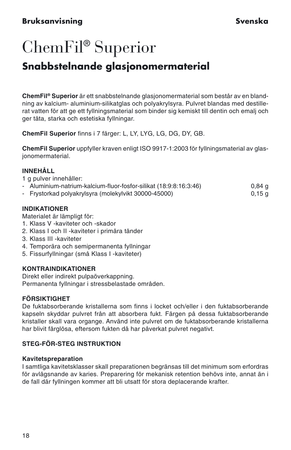#### <span id="page-18-0"></span>**Bruksanvisning Svenska**

## ChemFil® Superior

### **Snabbstelnande glasjonomermaterial**

**ChemFil® Superior** är ett snabbstelnande glasjonomermaterial som består av en blandning av kalcium- aluminium-silikatglas och polyakrylsyra. Pulvret blandas med destillerat vatten för att ge ett fyllningsmaterial som binder sig kemiskt till dentin och emalj och ger täta, starka och estetiska fyllningar.

**ChemFil Superior** finns i 7 färger: L, LY, LYG, LG, DG, DY, GB.

**ChemFil Superior** uppfyller kraven enligt ISO 9917-1:2003 för fyllningsmaterial av glasjonomermaterial.

#### **INNEHÅLL**

1 g pulver innehåller:

- Aluminium-natrium-kalcium-fluor-fosfor-silikat (18:9:8:16:3:46) 0,84 g
- Frystorkad polyakrylsyra (molekylvikt 30000-45000) 0,15 g

#### **INDIKATIONER**

Materialet är lämpligt för:

- 1. Klass V -kaviteter och -skador
- 2. Klass I och II -kaviteter i primära tänder
- 3. Klass III -kaviteter
- 4. Temporära och semipermanenta fyllningar
- 5. Fissurfyllningar (små Klass I -kaviteter)

#### **KONTRAINDIKATIONER**

Direkt eller indirekt pulpaöverkappning. Permanenta fyllningar i stressbelastade områden.

#### **FÖRSIKTIGHET**

De fuktabsorberande kristallerna som finns i locket och/eller i den fuktabsorberande kapseln skyddar pulvret från att absorbera fukt. Färgen på dessa fuktabsorberande kristaller skall vara organge. Använd inte pulvret om de fuktabsorberande kristallerna har blivit färglösa, eftersom fukten då har påverkat pulvret negativt.

#### **STEG-FÖR-STEG INSTRUKTION**

#### **Kavitetspreparation**

I samtliga kavitetsklasser skall preparationen begränsas till det minimum som erfordras för avlägsnande av karies. Preparering för mekanisk retention behövs inte, annat än i de fall där fyllningen kommer att bli utsatt för stora deplacerande krafter.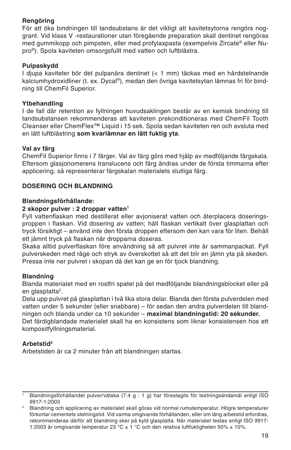#### **Rengöring**

För att öka bindningen till tandsubstans är det viktigt att kavitetsytorna rengörs noggrant. Vid klass V -restaurationer utan föregående preparation skall dentinet rengöras med gummikopp och pimpsten, eller med profylaxpasta (exempelvis Zircate® eller Nupro®). Spola kaviteten omsorgsfullt med vatten och luftblästra.

#### **Pulpaskydd**

I djupa kaviteter bör det pulpanära dentinet (< 1 mm) täckas med en hårdstelnande kalciumhydroxidliner (t. ex. Dycal®), medan den övriga kavitetsytan lämnas fri för bindning till ChemFil Superior.

#### **Ytbehandling**

I de fall där retention av fyllningen huvudsaklingen består av en kemisk bindning till tandsubstansen rekommenderas att kaviteten prekonditioneras med ChemFil Tooth Cleanser eller ChemFlex™ Liquid i 15 sek. Spola sedan kaviteten ren och avsluta med en lätt luftblästring **som kvarlämnar en lätt fuktig yta**.

#### **Val av färg**

ChemFil Superior finns i 7 färger. Val av färg görs med hjälp av medföljande färgskala. Eftersom glasjonomerens translucens och färg ändras under de första timmarna efter applicering, så representerar färgskalan materialets slutliga färg.

#### **DOSERING OCH BLANDNING**

#### **Blandningsförhållande:**

#### **2 skopor pulver : 2 droppar vatten1**

Fyll vattenflaskan med destillerat eller avjoniserat vatten och återplacera doseringsproppen i flaskan. Vid dosering av vatten; håll flaskan vertikalt över glasplattan och tryck försiktigt – använd inte den första droppen eftersom den kan vara för liten. Behåll ett jämnt tryck på flaskan när dropparna doseras.

Skaka alltid pulverflaskan före användning så att pulvret inte är sammanpackat. Fyll pulverskeden med råge och stryk av överskottet så att det blir en jämn yta på skeden. Pressa inte ner pulvret i skopan då det kan ge en för tjock blandning.

#### **Blandning**

Blanda materialet med en rostfri spatel på det medföljande blandningsblocket eller på en glasplatta<sup>2</sup>.

Dela upp pulvret på glasplattan i två lika stora delar. Blanda den första pulverdelen med vatten under 5 sekunder (eller snabbare) – för sedan den andra pulverdelen till blandningen och blanda under ca 10 sekunder – **maximal blandningstid: 20 sekunder.** Det färdigblandade materialet skall ha en konsistens som liknar konsistensen hos ett kompositfyllningsmaterial.

#### **Arbetstid2**

Arbetstiden är ca 2 minuter från att blandningen startas.

<sup>1</sup> Blandningsförhållandet pulver/vätska (7.4 g : 1 g) har föreslagits för testningsändamål enligt ISO 9917-1:2003

<sup>&</sup>lt;sup>2</sup> Blandning och applicering av materialet skall göras vid normal rumstemperatur. Högre temperaturer förkortar cementets stelningstid. Vid varma omgivande förhållanden, eller om lång arbetstid erfordras, rekommenderas därför att blandning sker på kyld glasplatta. När materialet testas enligt ISO 9917- 1:2003 är omgivande temperatur 23 °C ± 1 °C och den relativa luftfuktigheten 50% ± 10%.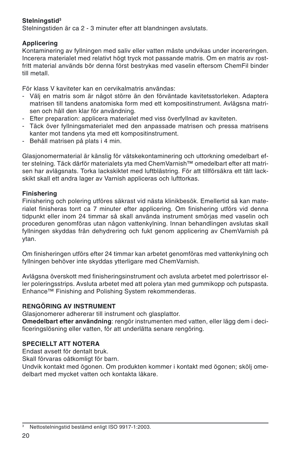#### **Stelningstid3**

Stelningstiden är ca 2 - 3 minuter efter att blandningen avslutats.

#### **Applicering**

Kontaminering av fyllningen med saliv eller vatten måste undvikas under incereringen. Incerera materialet med relativt högt tryck mot passande matris. Om en matris av rostfritt material används bör denna först bestrykas med vaselin eftersom ChemFil binder till metall.

För klass V kaviteter kan en cervikalmatris användas:

- Välj en matris som är något större än den förväntade kavitetsstorleken. Adaptera matrisen till tandens anatomiska form med ett kompositinstrument. Avlägsna matrisen och håll den klar för användning.
- Efter preparation: applicera materialet med viss överfyllnad av kaviteten.
- Täck över fyllningsmaterialet med den anpassade matrisen och pressa matrisens kanter mot tandens yta med ett kompositinstrument.
- Behåll matrisen på plats i 4 min.

Glasjonomermaterial är känslig för vätskekontaminering och uttorkning omedelbart efter stelning. Täck därför materialets yta med ChemVarnish™ omedelbart efter att matrisen har avlägsnats. Torka lackskiktet med luftblästring. För att tillförsäkra ett tätt lackskikt skall ett andra lager av Varnish appliceras och lufttorkas.

#### **Finishering**

Finishering och polering utföres säkrast vid nästa klinikbesök. Emellertid så kan materialet finisheras torrt ca 7 minuter efter applicering. Om finishering utförs vid denna tidpunkt eller inom 24 timmar så skall använda instrument smörjas med vaselin och proceduren genomföras utan någon vattenkylning. Innan behandlingen avslutas skall fyllningen skyddas från dehydrering och fukt genom applicering av ChemVarnish på ytan.

Om finisheringen utförs efter 24 timmar kan arbetet genomföras med vattenkylning och fyllningen behöver inte skyddas ytterligare med ChemVarnish.

Avlägsna överskott med finisheringsinstrument och avsluta arbetet med polertrissor eller poleringsstrips. Avsluta arbetet med att polera ytan med gummikopp och putspasta. Enhance™ Finishing and Polishing System rekommenderas.

#### **RENGÖRING AV INSTRUMENT**

Glasjonomerer adhererar till instrument och glasplattor.

**Omedelbart efter användning**: rengör instrumenten med vatten, eller lägg dem i decificeringslösning eller vatten, för att underlätta senare rengöring.

#### **SPECIELLT ATT NOTERA**

Endast avsett för dentalt bruk.

Skall förvaras oåtkomligt för barn.

Undvik kontakt med ögonen. Om produkten kommer i kontakt med ögonen; skölj omedelbart med mycket vatten och kontakta läkare.

<sup>3</sup> Nettostelningstid bestämd enligt ISO 9917-1:2003.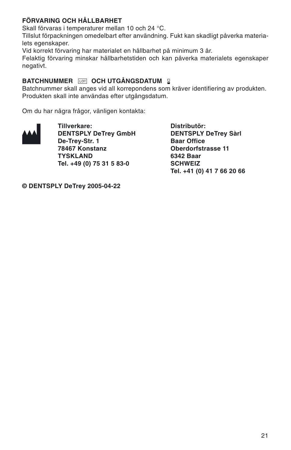#### **FÖRVARING OCH HÅLLBARHET**

Skall förvaras i temperaturer mellan 10 och 24 °C.

Tillslut förpackningen omedelbart efter användning. Fukt kan skadligt påverka materialets egenskaper.

Vid korrekt förvaring har materialet en hållbarhet på minimum 3 år.

Felaktig förvaring minskar hållbarhetstiden och kan påverka materialets egenskaper negativt.

#### **BATCHNUMMER FOT OCH UTGÅNGSDATUM 2**

Batchnummer skall anges vid all korrepondens som kräver identifiering av produkten. Produkten skall inte användas efter utgångsdatum.

Om du har några frågor, vänligen kontakta:



**DENTSPLY DeTrey GmbH DENTSPLY**<br>De-Trey-Str. 1 Baar Office **De-Trey-Str. 1 78467 Konstanz Oberdorfstrasse 11 TYSKLAND** 6342 Baar<br> **Tel. +49 (0) 75 31 5 83-0** SCHWFIZ Tel. +49 (0) 75 31 5 83-0

**Tillverkare:** Distributör:<br>
DENTSPLY DeTrey GmbH DENTSPLY DeTrey Sàrl **Tel. +41 (0) 41 7 66 20 66**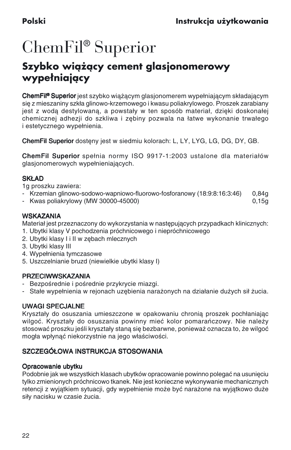## <span id="page-22-0"></span>ChemFil® Superior

### **Szybko wiążący cement glasjonomerowy wypełniający**

ChemFil® Superior jest szybko wiażacym glasjonomerem wypełniającym składającym się z mieszaniny szkła glinowo-krzemowego i kwasu poliakrylowego. Proszek zarabiany jest z wodą destylowaną, a powstały w ten sposób materiał, dzięki doskonałej chemicznej adhezji do szkliwa i zębiny pozwala na łatwe wykonanie trwałego i estetycznego wypełnienia.

ChemFil Superior dosteny jest w siedmiu kolorach: L, LY, LYG, LG, DG, DY, GB.

ChemFil Superior spełnia normy ISO 9917-1:2003 ustalone dla materiałów glasjonomerowych wypełnieniających.

#### SKł AD

1g proszku zawiera:

- Krzemian glinowo-sodowo-wapniowo-fluorowo-fosforanowy (18:9:8:16:3:46) 0,84g
- Kwas poliakrylowy (MW 30000-45000) 0,15g

#### **WSKAZANIA**

Materiał jest przeznaczony do wykorzystania w następujących przypadkach klinicznych: 1. Ubytki klasy V pochodzenia próchnicowego i niepróchnicowego

- 2. Ubytki klasy I i II w zębach mlecznych
- 3. Ubytki klasy III
- 4. Wypełnienia tymczasowe
- 5. Uszczelnianie bruzd (niewielkie ubytki klasy I)

#### PRZECIWWSKAZANIA

- Bezpośrednie i pośrednie przykrycie miazgi.
- Stałe wypełnienia w rejonach uzębienia narażonych na działanie dużych sił żucia.

#### UWAGI SPECJALNE

Kryształy do osuszania umieszczone w opakowaniu chronia proszek pochłaniając wilgoć. Kryształy do osuszania powinny mieć kolor pomarańczowy. Nie należy stosować proszku jeśli kryształy staną się bezbarwne, ponieważ oznacza to, że wilgoć mogła wpłynąć niekorzystnie na jego właściwości.

#### SZCZEGÓŁOWA INSTRUKCJA STOSOWANIA

#### Opracowanie ubytku

Podobnie jak we wszystkich klasach ubytków opracowanie powinno polegać na usunięciu tylko zmienionych próchnicowo tkanek. Nie jest konieczne wykonywanie mechanicznych retencji z wyjątkiem sytuacji, gdy wypełnienie może być narażone na wyjątkowo duże siły nacisku w czasie żucia.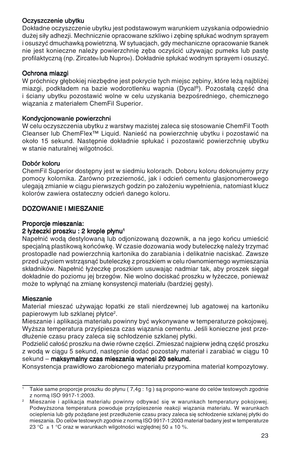#### Oczyszczenie ubytku

Dok∏adne oczyszczenie ubytku jest podstawowym warunkiem uzyskania odpowiednio dużej siły adhezji. Mechnicznie opracowane szkliwo i zębinę spłukać wodnym sprayem i osuszyç dmuchawkà powietrznà. W sytuacjach, gdy mechaniczne opracowanie tkanek nie jest konieczne należy powierzchnie zeba oczyścić używając pumeks lub paste profilaktyczną (np. Zircate® lub Nupro®). Dokładnie spłukać wodnym sprayem i osuszyć.

#### Ochrona miazgi

W próchnicy głębokiej niezbędne jest pokrycie tych miejsc zębiny, które leża naibliżei miazgi, podkładem na bazie wodorotlenku wapnia (Dycal®). Pozostała cześć dna i ściany ubytku pozostawić wolne w celu uzyskania bezpośredniego, chemicznego wiązania z materiałem ChemFil Superior.

#### Kondycjonowanie powierzchni

W celu oczyszczenia ubytku z warstwy mazistej zaleca się stosowanie ChemFil Tooth Cleanser lub ChemFlex™ Liquid. Nanieść na powierzchnie ubytku i pozostawić na około 15 sekund. Następnie dokładnie spłukać i pozostawić powierzchnie ubytku w stanie naturalnej wilgotności.

#### Dobór koloru

ChemFil Superior dostepny jest w siedmiu kolorach. Doboru koloru dokonujemy przy pomocy kolornika. Zarówno przezierność, jak i odcień cementu glasjonomerowego ulegajà zmianie w ciàgu pierwszych godzin po za∏o˝eniu wype∏nienia, natomiast klucz kolorów zawiera ostateczny odcień danego koloru.

#### DOZOWANIE I MIESZANIE

#### Proporcje mieszania:

#### 2 łyżeczki proszku : 2 krople płynu<sup>1</sup>

Napełnić wodą destylowaną lub odjonizowaną dozownik, a na jego końcu umieścić specjalną plastikową końcówkę. W czasie dozowania wody buteleczkę należy trzymać prostopadle nad powierzchnià kartonika do zarabiania i delikatnie naciskaç. Zawsze przed użyciem wstrząsnąć buteleczkę z proszkiem w celu równomiernego wymieszania składników. Napełnić łyżeczke proszkiem usuwając nadmiar tak, aby proszek siegał dokładnie do poziomu jej brzegów. Nie wolno dociskać proszku w łyżeczce, ponieważ może to wpłynać na zmiane konsystencji materiału (bardziej gesty).

#### Mieszanie

Materiał mieszać używając łopatki ze stali nierdzewnej lub agatowej na kartoniku papierowym lub szklanej płytce<sup>2</sup>.

.<br>Mieszanie i aplikacja materiału powinny być wykonywane w temperaturze pokojowej. Wyższa temperatura przyśpiesza czas wiązania cementu. Jeśli konieczne jest przedłużenie czasu pracy zaleca się schłodzenie szklanej płytki.

Podzielić całość proszku na dwie równe części. Zmieszać najpierw jedną część proszku z wodą w ciągu 5 sekund, następnie dodać pozostały materiał i zarabiać w ciągu 10 sekund – maksymalny czas mieszania wynosi 20 sekund.

Konsystencja prawid∏owo zarobionego materia∏u przypomina materia∏ kompozytowy.

<sup>1</sup> Takie same proporcje proszku do p∏ynu ( 7,4g : 1g ) sà propono-wane do celów testowych zgodnie z normà ISO 9917-1:2003.

<sup>2</sup> Mieszanie i aplikacja materiału powinny odbywać się w warunkach temperatury pokojowej. Podwyższona temperatura powoduje przyśpieszenie reakcji wiązania materiału. W warunkach ocieplenia lub gdy pożądane jest przedłużenie czasu pracy zaleca się schłodzenie szklanej płytki do mieszania. Do celów testowych zgodnie z normą ISO 9917-1:2003 materiał badany jest w temperaturze 23 °C  $\pm$  1 °C oraz w warunkach wilgotności względnej 50  $\pm$  10 %.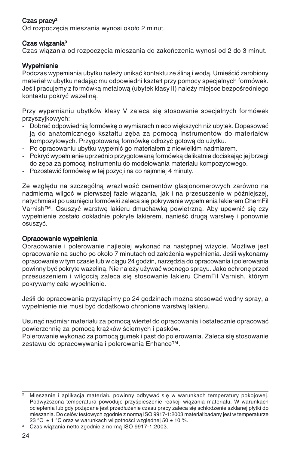#### Czas pracy2

Od rozpoczecia mieszania wynosi około 2 minut.

#### Czas wiàzania3

Czas wiązania od rozpoczęcia mieszania do zakończenia wynosi od 2 do 3 minut.

#### Wypełnianie

Podczas wypełniania ubytku należy unikać kontaktu ze ślina i woda. Umieścić zarobiony materiał w ubytku nadając mu odpowiedni kształt przy pomocy specjalnych formówek. Jeśli pracujemy z formówka metalowa (ubytek klasy II) należy miejsce bezpośredniego kontaktu pokryç wazelinà.

Przy wypełnianiu ubytków klasy V zaleca się stosowanie specjalnych formówek przyszyjkowych:

- Dobrać odpowiednia formówke o wymiarach nieco wiekszych niż ubytek. Dopasować ia do anatomicznego kształtu zeba za pomoca instrumentów do materiałów kompozytowych. Przygotowaną formówkę odłożyć gotową do użytku.
- Po opracowaniu ubytku wypełnić go materiałem z niewielkim nadmiarem.
- Pokryç wype∏nienie uprzednio przygotowanà formówkà delikatnie dociskajàc jej brzegi do z´ba za pomocà instrumentu do modelowania materia∏u kompozytowego.
- Pozostawić formówke w tej pozycji na co najmniej 4 minuty.

Ze względu na szczególną wrażliwość cementów glasjonomerowych zarówno na nadmiernà wilgoç w pierwszej fazie wiàzania, jak i na przesuszenie w póêniejszej, natychmiast po usunięciu formówki zaleca się pokrywanie wypełnienia lakierem ChemFil Varnish™. Osuszyć warstwę lakieru dmuchawką powietrzną. Aby upewnić się czy wypełnienie zostało dokładnie pokryte lakierem, nanieść druga warstwe i ponownie osuszyç.

#### Opracowanie wypełnienia

Opracowanie i polerowanie najlepiej wykonać na następnej wizycie. Możliwe jest opracowanie na sucho po około 7 minutach od założenia wypełnienia. Jeśli wykonamy opracowanie w tym czasie lub w ciągu 24 godzin, narzędzia do opracowania i polerowania powinny być pokryte wazelina. Nie należy używać wodnego sprayu. Jako ochrone przed przesuszeniem i wilgocia zaleca się stosowanie lakieru ChemFil Varnish, którym pokrywamy całe wypełnienie.

Jeśłi do opracowania przystąpimy po 24 godzinach można stosować wodny spray, a wypełnienie nie musi być dodatkowo chronione warstwa lakieru.

Usunać nadmiar materiału za pomocą wierteł do opracowania i ostatecznie opracować powierzchnie za pomocą krążków ściernych i pasków.

Polerowanie wykonać za pomocą gumek i past do polerowania. Zaleca się stosowanie zestawu do opracowywania i polerowania Enhance™.

Mieszanie i aplikacja materiału powinny odbywać się w warunkach temperatury pokojowej. Podwyższona temperatura powoduje przyśpieszenie reakcji wiązania materiału. W warunkach ocieplenia lub gdy pożądane jest przedłużenie czasu pracy zaleca się schłodzenie szklanej płytki do mieszania. Do celów testowych zgodnie z normą ISO 9917-1:2003 materiał badany jest w temperaturze 23 °C  $\pm$  1 °C oraz w warunkach wilgotności względnej 50  $\pm$  10 %.

<sup>&</sup>lt;sup>3</sup> Czas wiązania netto zgodnie z normą ISO 9917-1:2003.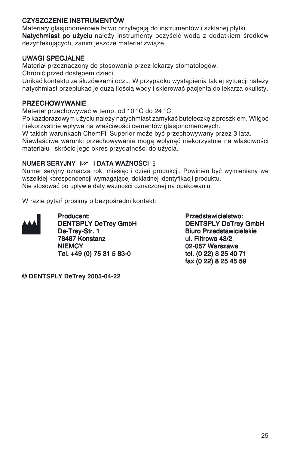#### CZYSZCZENIE INSTRUMENTÓW

Materiały glasjonomerowe łatwo przylegają do instrumentów i szklanej płytki. Natychmiast po użyciu należy instrumenty oczyścić wodą z dodatkiem środków dezynfekujących, zanim jeszcze materiał zwiąże.

#### UWAGI SPECJALNE

Materiał przeznaczony do stosowania przez lekarzy stomatologów.

Chronić przed dostepem dzieci.

Unikać kontaktu ze Śłuzówkami oczu. W przypadku wystapienia takiej sytuacji należy natychmiast przepłukać je duża ilościa wody i skierować pacjenta do lekarza okulisty.

#### **PRZECHOWYWANIE**

Materiał przechowywać w temp. od 10 °C do 24 °C.

Po każdorazowym użyciu należy natychmiast zamykać buteleczkę z proszkiem. Wilgoć niekorzystnie wpływa na właściwości cementów glasionomerowych.

W takich warunkach ChemFil Superior może być przechowywany przez 3 lata.

Niewłaściwe warunki przechowywania mogą wpłynąć niekorzystnie na właściwości materiału i skrócić jego okres przydatności do użycia.

#### NUMER SERYJNY **IOT I DATA WAŻNOŚCI 2**

Numer serviny oznacza rok, miesiac i dzień produkcji. Powinien być wymieniany we wszelkiej korespondencji wymagającej dokładnej identyfikacji produktu. Nie stosować po upływie daty ważności oznaczonej na opakowaniu.

W razie pytań prosimy o bezpośredni kontakt:



DENTSPLY DeTrey GmbH<br>De-Trey-Str. 1 De-Trey-Str. 1 Biuro Przedstawicielskie<br>19467 Konstanz Martin (b. 1946)<br>1946 Billion (b. 1949) 78467 Konstanz ul. Filtrowa 43/2 Tel. +49 (0) 75 31 5 83-0

Producent:<br>
DENTSPLY DeTrey GmbH<br>
DENTSPLY DeTrey GmbH<br>
DENTSPLY DeTrey GmbH 02-057 Warszawa<br>tel. (0 22) 8 25 40 71 fax (0 22) 8 25 45 59